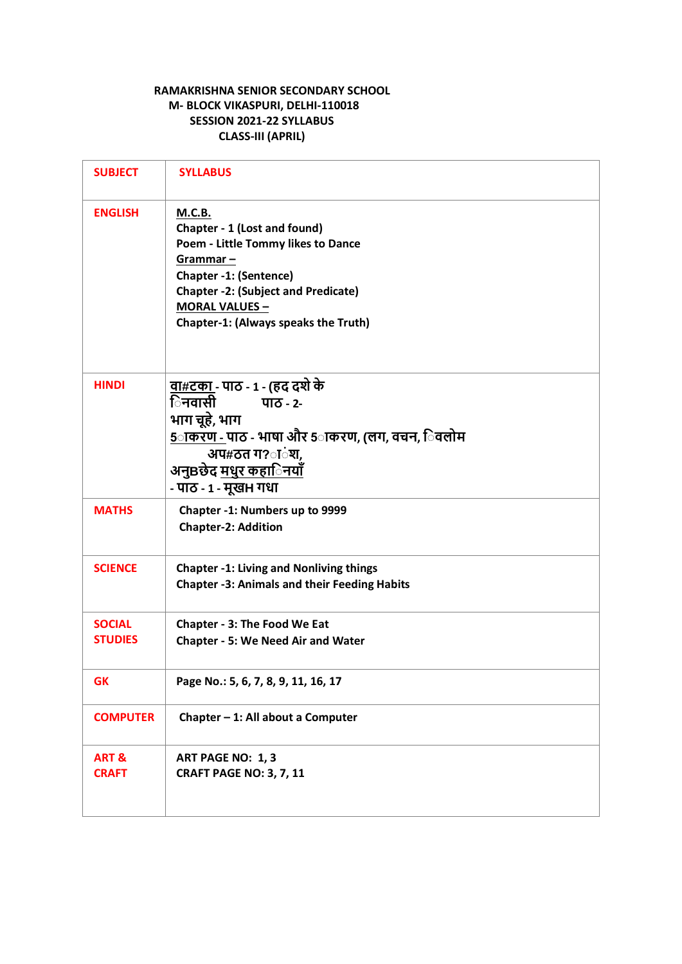# **RAMAKRISHNA SENIOR SECONDARY SCHOOL M- BLOCK VIKASPURI, DELHI-110018 SESSION 2021-22 SYLLABUS CLASS-III (APRIL)**

| <b>SUBJECT</b>                  | <b>SYLLABUS</b>                                                                                                                                                                                                                                 |
|---------------------------------|-------------------------------------------------------------------------------------------------------------------------------------------------------------------------------------------------------------------------------------------------|
| <b>ENGLISH</b>                  | <b>M.C.B.</b><br>Chapter - 1 (Lost and found)<br>Poem - Little Tommy likes to Dance<br>Grammar-<br><b>Chapter -1: (Sentence)</b><br><b>Chapter -2: (Subject and Predicate)</b><br><b>MORAL VALUES -</b><br>Chapter-1: (Always speaks the Truth) |
| <b>HINDI</b>                    | <u>वा#टका -</u> पाठ - 1 - (हद दशे के<br>िनवासी<br>पाठ - 2-<br>भाग चूहे, भाग<br><u>5ाकरण - </u> पाठ - भाषा और 5ाकरण, (लग, वचन, िवलोम<br>अप#ठत ग?ांश,<br>अनुBछेद <u>मधुर कहािनयाँ</u><br>- पाठ - 1 - मूखभ गधा                                     |
| <b>MATHS</b>                    | Chapter -1: Numbers up to 9999<br><b>Chapter-2: Addition</b>                                                                                                                                                                                    |
| <b>SCIENCE</b>                  | <b>Chapter -1: Living and Nonliving things</b><br><b>Chapter -3: Animals and their Feeding Habits</b>                                                                                                                                           |
| <b>SOCIAL</b><br><b>STUDIES</b> | <b>Chapter - 3: The Food We Eat</b><br><b>Chapter - 5: We Need Air and Water</b>                                                                                                                                                                |
| <b>GK</b>                       | Page No.: 5, 6, 7, 8, 9, 11, 16, 17                                                                                                                                                                                                             |
| <b>COMPUTER</b>                 | Chapter - 1: All about a Computer                                                                                                                                                                                                               |
| ART&<br><b>CRAFT</b>            | ART PAGE NO: 1, 3<br><b>CRAFT PAGE NO: 3, 7, 11</b>                                                                                                                                                                                             |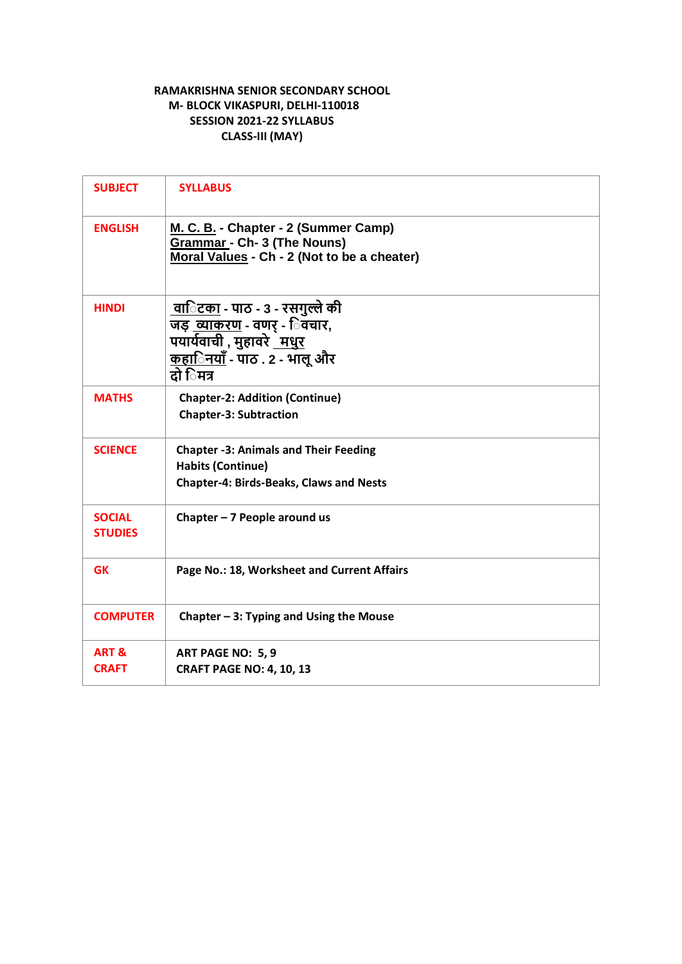# **RAMAKRISHNA SENIOR SECONDARY SCHOOL M- BLOCK VIKASPURI, DELHI-110018 SESSION 2021-22 SYLLABUS CLASS-III (MAY)**

| <b>SUBJECT</b>                   | <b>SYLLABUS</b>                                                                                                                                                     |
|----------------------------------|---------------------------------------------------------------------------------------------------------------------------------------------------------------------|
| <b>ENGLISH</b>                   | M. C. B. - Chapter - 2 (Summer Camp)<br><b>Grammar - Ch- 3 (The Nouns)</b><br>Moral Values - Ch - 2 (Not to be a cheater)                                           |
| <b>HINDI</b>                     | <u> वािटका</u> - पाठ - 3 - रसगुल्ले की<br>जड़ <u>व्याकरण</u> - वणर् - िवचार,<br>पयार्यवाची , मुहावरे <u>मधुर</u><br><u>कहािनयाँ</u> - पाठ . 2 - भालू और<br>टो िमत्र |
| <b>MATHS</b>                     | <b>Chapter-2: Addition (Continue)</b><br><b>Chapter-3: Subtraction</b>                                                                                              |
| <b>SCIENCE</b>                   | <b>Chapter -3: Animals and Their Feeding</b><br><b>Habits (Continue)</b><br><b>Chapter-4: Birds-Beaks, Claws and Nests</b>                                          |
| <b>SOCIAL</b><br><b>STUDIES</b>  | Chapter $-7$ People around us                                                                                                                                       |
| <b>GK</b>                        | Page No.: 18, Worksheet and Current Affairs                                                                                                                         |
| <b>COMPUTER</b>                  | Chapter $-3$ : Typing and Using the Mouse                                                                                                                           |
| <b>ART &amp;</b><br><b>CRAFT</b> | ART PAGE NO: 5, 9<br><b>CRAFT PAGE NO: 4, 10, 13</b>                                                                                                                |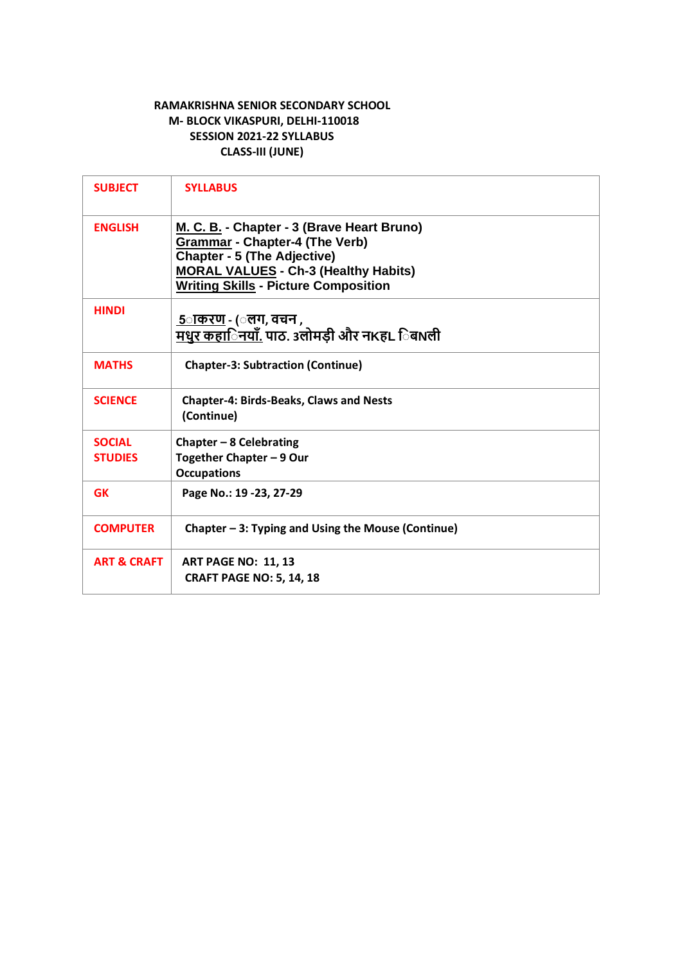#### **RAMAKRISHNA SENIOR SECONDARY SCHOOL M- BLOCK VIKASPURI, DELHI-110018 SESSION 2021-22 SYLLABUS CLASS-III (JUNE)**

| <b>SUBJECT</b>         | <b>SYLLABUS</b>                                                                                                                                                                                                         |
|------------------------|-------------------------------------------------------------------------------------------------------------------------------------------------------------------------------------------------------------------------|
| <b>ENGLISH</b>         | M. C. B. - Chapter - 3 (Brave Heart Bruno)<br><b>Grammar - Chapter-4 (The Verb)</b><br><b>Chapter - 5 (The Adjective)</b><br><b>MORAL VALUES - Ch-3 (Healthy Habits)</b><br><b>Writing Skills - Picture Composition</b> |
| <b>HINDI</b>           | <u> 5ाकरण</u> - (ंलग, वचन ,<br><u>मधुर कहा<b>िनयाँ. पाठ. 3लोमड़ी और नKहL िब</b>Nली</u>                                                                                                                                  |
| <b>MATHS</b>           | <b>Chapter-3: Subtraction (Continue)</b>                                                                                                                                                                                |
| <b>SCIENCE</b>         | <b>Chapter-4: Birds-Beaks, Claws and Nests</b><br>(Continue)                                                                                                                                                            |
| <b>SOCIAL</b>          | Chapter $-8$ Celebrating                                                                                                                                                                                                |
| <b>STUDIES</b>         | Together Chapter - 9 Our                                                                                                                                                                                                |
|                        | <b>Occupations</b>                                                                                                                                                                                                      |
| <b>GK</b>              | Page No.: 19 - 23, 27 - 29                                                                                                                                                                                              |
| <b>COMPUTER</b>        | Chapter – 3: Typing and Using the Mouse (Continue)                                                                                                                                                                      |
| <b>ART &amp; CRAFT</b> | <b>ART PAGE NO: 11, 13</b>                                                                                                                                                                                              |
|                        | <b>CRAFT PAGE NO: 5, 14, 18</b>                                                                                                                                                                                         |
|                        |                                                                                                                                                                                                                         |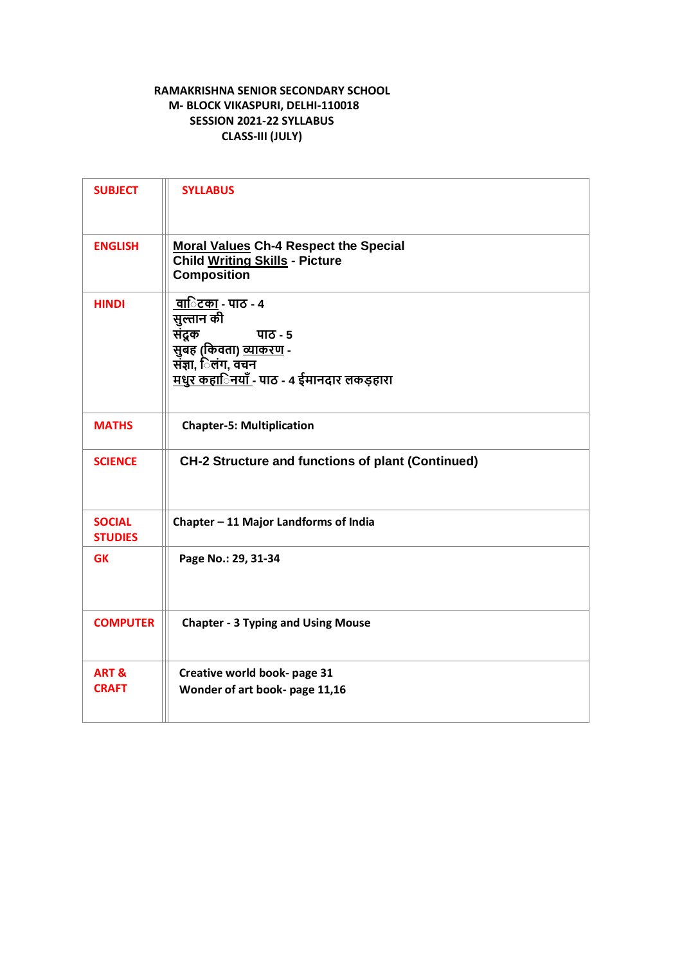# **RAMAKRISHNA SENIOR SECONDARY SCHOOL M- BLOCK VIKASPURI, DELHI-110018 SESSION 2021-22 SYLLABUS CLASS-III (JULY)**

| <b>SUBJECT</b>                   | <b>SYLLABUS</b>                                                                                                                                               |
|----------------------------------|---------------------------------------------------------------------------------------------------------------------------------------------------------------|
| <b>ENGLISH</b>                   | <b>Moral Values Ch-4 Respect the Special</b><br><b>Child Writing Skills - Picture</b><br><b>Composition</b>                                                   |
| <b>HINDI</b>                     | वािटका - पाठ - ४<br>सुल्तान की<br>संद्रक<br>पाठ - 5<br>सुबँह (किवता) <u>व्याकरण</u> -<br>संज्ञा, िलंग, वचन<br><u>मधुर कहािनयाँ</u> - पाठ - 4 ईमानदार लकड़हारा |
| <b>MATHS</b>                     | <b>Chapter-5: Multiplication</b>                                                                                                                              |
| <b>SCIENCE</b>                   | <b>CH-2 Structure and functions of plant (Continued)</b>                                                                                                      |
| <b>SOCIAL</b><br><b>STUDIES</b>  | Chapter - 11 Major Landforms of India                                                                                                                         |
| <b>GK</b>                        | Page No.: 29, 31-34                                                                                                                                           |
| <b>COMPUTER</b>                  | <b>Chapter - 3 Typing and Using Mouse</b>                                                                                                                     |
| <b>ART &amp;</b><br><b>CRAFT</b> | Creative world book- page 31<br>Wonder of art book- page 11,16                                                                                                |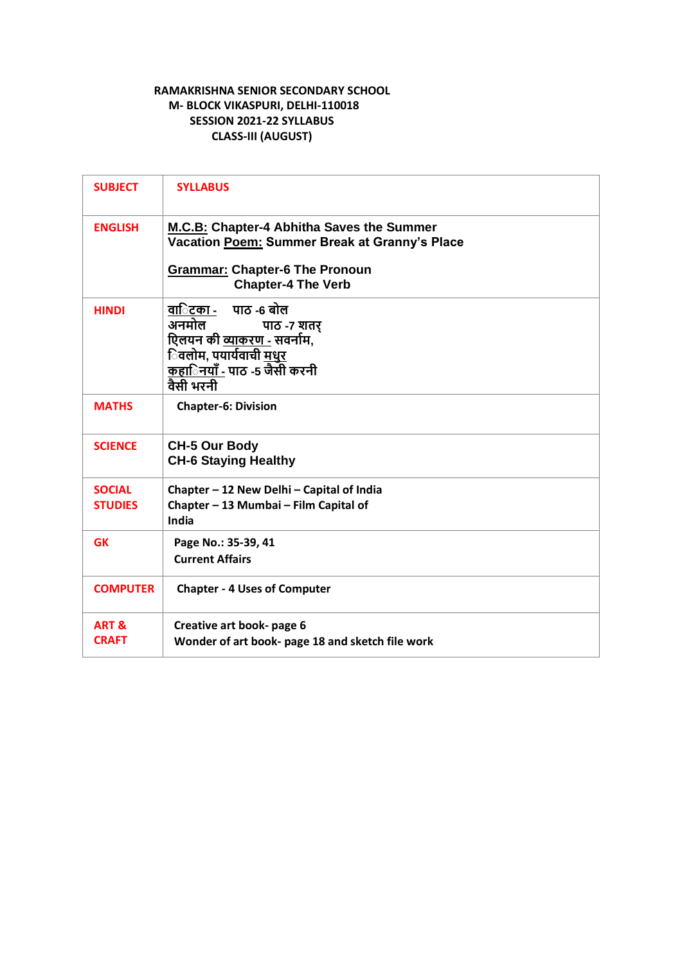# **RAMAKRISHNA SENIOR SECONDARY SCHOOL M- BLOCK VIKASPURI, DELHI-110018 SESSION 2021-22 SYLLABUS CLASS-III (AUGUST)**

| <b>SUBJECT</b>                  | <b>SYLLABUS</b>                                                                                                                                                       |
|---------------------------------|-----------------------------------------------------------------------------------------------------------------------------------------------------------------------|
| <b>ENGLISH</b>                  | M.C.B: Chapter-4 Abhitha Saves the Summer<br>Vacation Poem: Summer Break at Granny's Place<br><b>Grammar: Chapter-6 The Pronoun</b>                                   |
|                                 | <b>Chapter-4 The Verb</b>                                                                                                                                             |
| <b>HINDI</b>                    | वा <b>िटका -</b> पाठ -6 बोल<br>अनमोल<br>पाठ -7 शतर<br>एिलयन की व्याकरण - सवर्नाम,<br>िवलोम, पयार्यवाची <u>मधुर</u><br><u>कहािनयाँ -</u> पाठ -5 जैसी करनी<br>वैसी भरनी |
| <b>MATHS</b>                    | <b>Chapter-6: Division</b>                                                                                                                                            |
| <b>SCIENCE</b>                  | <b>CH-5 Our Body</b><br><b>CH-6 Staying Healthy</b>                                                                                                                   |
| <b>SOCIAL</b><br><b>STUDIES</b> | Chapter - 12 New Delhi - Capital of India<br>Chapter - 13 Mumbai - Film Capital of<br>India                                                                           |
| <b>GK</b>                       | Page No.: 35-39, 41<br><b>Current Affairs</b>                                                                                                                         |
| <b>COMPUTER</b>                 | <b>Chapter - 4 Uses of Computer</b>                                                                                                                                   |
| <b>ART &amp;</b>                | Creative art book- page 6                                                                                                                                             |
| <b>CRAFT</b>                    | Wonder of art book- page 18 and sketch file work                                                                                                                      |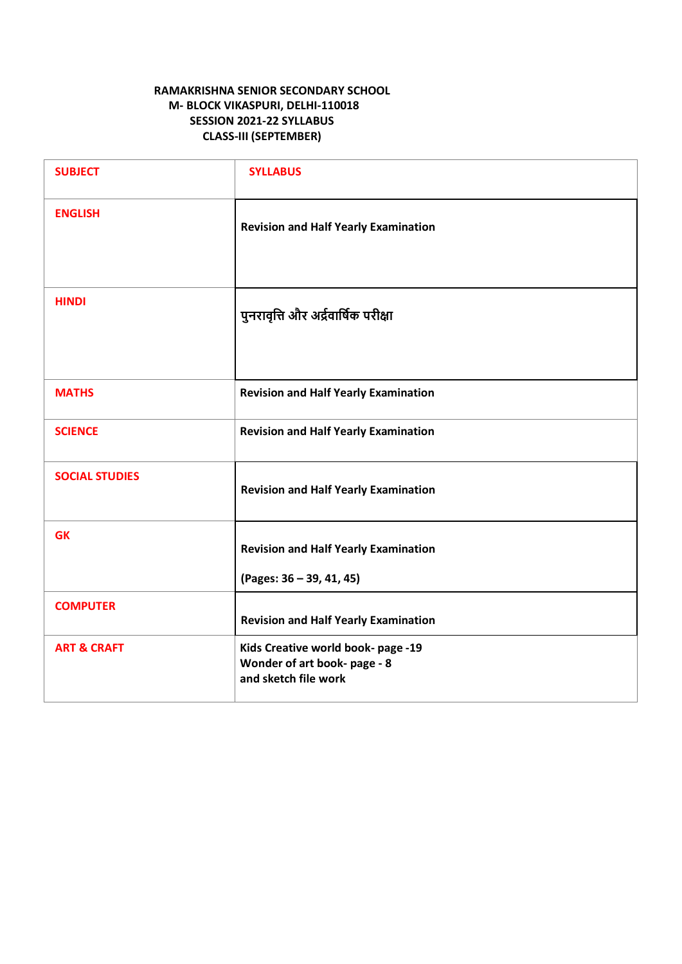# **RAMAKRISHNA SENIOR SECONDARY SCHOOL M- BLOCK VIKASPURI, DELHI-110018 SESSION 2021-22 SYLLABUS CLASS-III (SEPTEMBER)**

| <b>SUBJECT</b>         | <b>SYLLABUS</b>                                                                            |
|------------------------|--------------------------------------------------------------------------------------------|
| <b>ENGLISH</b>         | <b>Revision and Half Yearly Examination</b>                                                |
| <b>HINDI</b>           | पुनरावृत्ति और अर्द्रवार्षिक परीक्षा                                                       |
| <b>MATHS</b>           | <b>Revision and Half Yearly Examination</b>                                                |
| <b>SCIENCE</b>         | <b>Revision and Half Yearly Examination</b>                                                |
| <b>SOCIAL STUDIES</b>  | <b>Revision and Half Yearly Examination</b>                                                |
| <b>GK</b>              | <b>Revision and Half Yearly Examination</b>                                                |
|                        | (Pages: 36 - 39, 41, 45)                                                                   |
| <b>COMPUTER</b>        | <b>Revision and Half Yearly Examination</b>                                                |
| <b>ART &amp; CRAFT</b> | Kids Creative world book- page -19<br>Wonder of art book- page - 8<br>and sketch file work |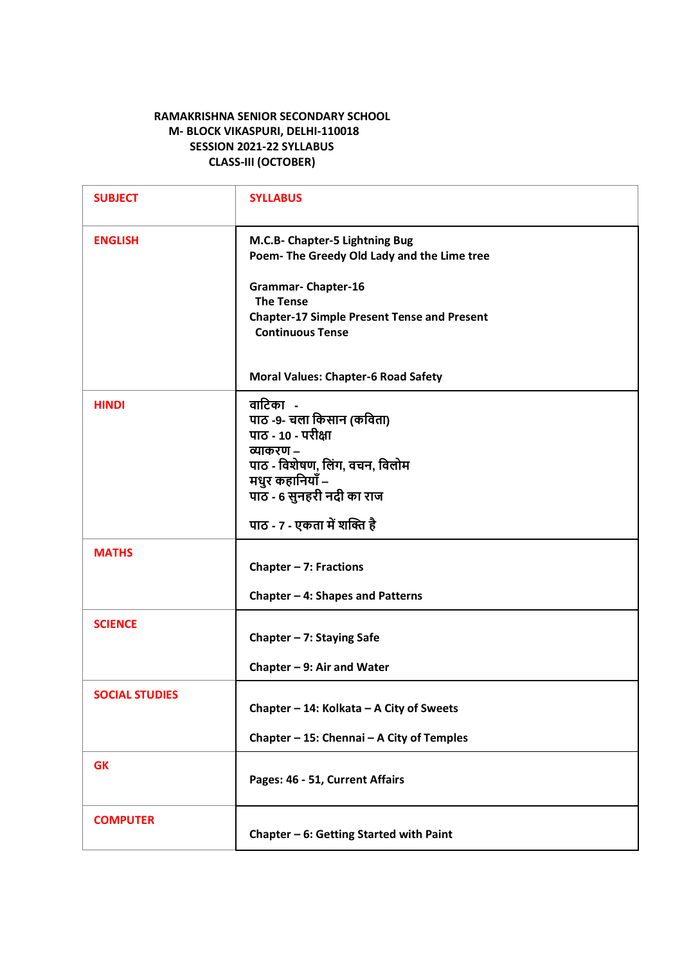#### **RAMAKRISHNA SENIOR SECONDARY SCHOOL M- BLOCK VIKASPURI, DELHI-110018 SESSION 2021-22 SYLLABUS CLASS-III (OCTOBER)**

| <b>SUBJECT</b>        | <b>SYLLABUS</b>                                                                |
|-----------------------|--------------------------------------------------------------------------------|
| <b>ENGLISH</b>        | M.C.B- Chapter-5 Lightning Bug<br>Poem- The Greedy Old Lady and the Lime tree  |
|                       | <b>Grammar- Chapter-16</b><br><b>The Tense</b>                                 |
|                       | <b>Chapter-17 Simple Present Tense and Present</b><br><b>Continuous Tense</b>  |
|                       | <b>Moral Values: Chapter-6 Road Safety</b>                                     |
| <b>HINDI</b>          | वाटिका -<br>पाठ -9- चला किसान (कविता)<br>पाठ - 10 - परीक्षा<br>व्याकरण –       |
|                       | पाठ - विशेषण, लिंग, वचन, विलोम<br>मधुर कहानियाँ –<br>पाठ - 6 सुनहरी नदी का राज |
|                       | पाठ - 7 - एकता में शक्ति है                                                    |
| <b>MATHS</b>          | Chapter $-7$ : Fractions                                                       |
|                       | Chapter - 4: Shapes and Patterns                                               |
| <b>SCIENCE</b>        | Chapter $-7$ : Staying Safe                                                    |
|                       | Chapter $-9$ : Air and Water                                                   |
| <b>SOCIAL STUDIES</b> | Chapter - 14: Kolkata - A City of Sweets                                       |
|                       | Chapter - 15: Chennai - A City of Temples                                      |
| <b>GK</b>             | Pages: 46 - 51, Current Affairs                                                |
| <b>COMPUTER</b>       | Chapter - 6: Getting Started with Paint                                        |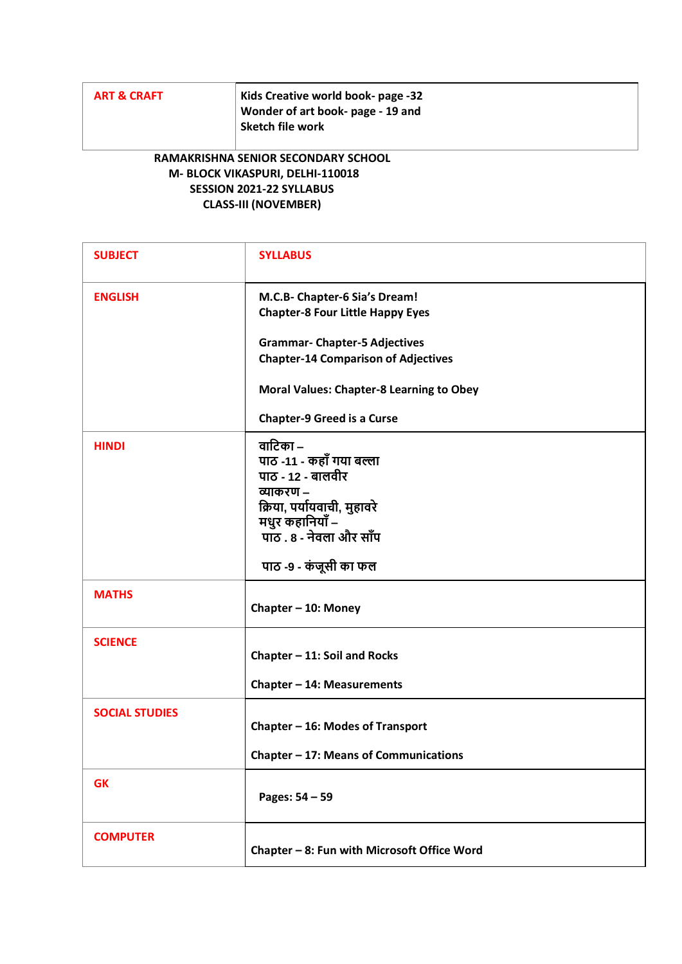| <b>ART &amp; CRAFT</b> | Kids Creative world book- page -32<br>Wonder of art book- page - 19 and<br>Sketch file work |
|------------------------|---------------------------------------------------------------------------------------------|
|                        |                                                                                             |

### **RAMAKRISHNA SENIOR SECONDARY SCHOOL M- BLOCK VIKASPURI, DELHI-110018 SESSION 2021-22 SYLLABUS CLASS-III (NOVEMBER)**

| <b>SUBJECT</b>        | <b>SYLLABUS</b>                                                                                                                                     |
|-----------------------|-----------------------------------------------------------------------------------------------------------------------------------------------------|
| <b>ENGLISH</b>        | M.C.B- Chapter-6 Sia's Dream!<br><b>Chapter-8 Four Little Happy Eyes</b>                                                                            |
|                       | <b>Grammar- Chapter-5 Adjectives</b>                                                                                                                |
|                       | <b>Chapter-14 Comparison of Adjectives</b>                                                                                                          |
|                       | <b>Moral Values: Chapter-8 Learning to Obey</b>                                                                                                     |
|                       | <b>Chapter-9 Greed is a Curse</b>                                                                                                                   |
| <b>HINDI</b>          | वाटिका –<br>पाठ -11 - कहाँ गया बल्ला<br>पाठ - 12 - बालवीर<br>व्याकरण –<br>क्रिया, पर्यायवाची, मुहावरे<br>मधुर कहानियाँ –<br>पाठ . 8 - नेवला और साँप |
|                       | पाठ -9 - कंजूसी का फल                                                                                                                               |
| <b>MATHS</b>          | Chapter - 10: Money                                                                                                                                 |
| <b>SCIENCE</b>        | Chapter - 11: Soil and Rocks                                                                                                                        |
|                       | Chapter - 14: Measurements                                                                                                                          |
| <b>SOCIAL STUDIES</b> | Chapter - 16: Modes of Transport<br>Chapter - 17: Means of Communications                                                                           |
| <b>GK</b>             |                                                                                                                                                     |
|                       | Pages: 54 - 59                                                                                                                                      |
| <b>COMPUTER</b>       | Chapter - 8: Fun with Microsoft Office Word                                                                                                         |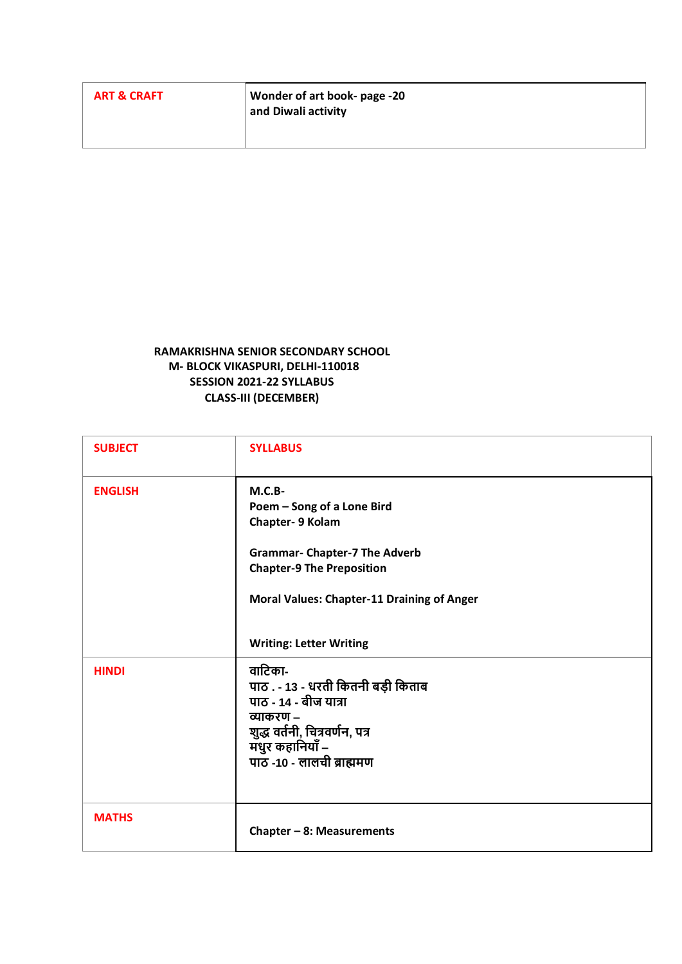| <b>ART &amp; CRAFT</b> | Wonder of art book- page -20<br>and Diwali activity |
|------------------------|-----------------------------------------------------|
|                        |                                                     |

#### **RAMAKRISHNA SENIOR SECONDARY SCHOOL M- BLOCK VIKASPURI, DELHI-110018 SESSION 2021-22 SYLLABUS CLASS-III (DECEMBER)**

| <b>SUBJECT</b> | <b>SYLLABUS</b>                                                                                                                                                                                                               |
|----------------|-------------------------------------------------------------------------------------------------------------------------------------------------------------------------------------------------------------------------------|
| <b>ENGLISH</b> | $M.C.B-$<br>Poem - Song of a Lone Bird<br>Chapter- 9 Kolam<br><b>Grammar- Chapter-7 The Adverb</b><br><b>Chapter-9 The Preposition</b><br><b>Moral Values: Chapter-11 Draining of Anger</b><br><b>Writing: Letter Writing</b> |
| <b>HINDI</b>   | वाटिका-<br>पाठ . - 13 - धरती कितनी बड़ी किताब<br>पाठ - 14 - बीज यात्रा<br>व्याकरण –<br>शुद्ध वर्तनी, चित्रवर्णन, पत्र<br>मधुर कहानियाँ –<br>पाठ -10 - लालची ब्राह्ममण                                                         |
| <b>MATHS</b>   | Chapter $-8$ : Measurements                                                                                                                                                                                                   |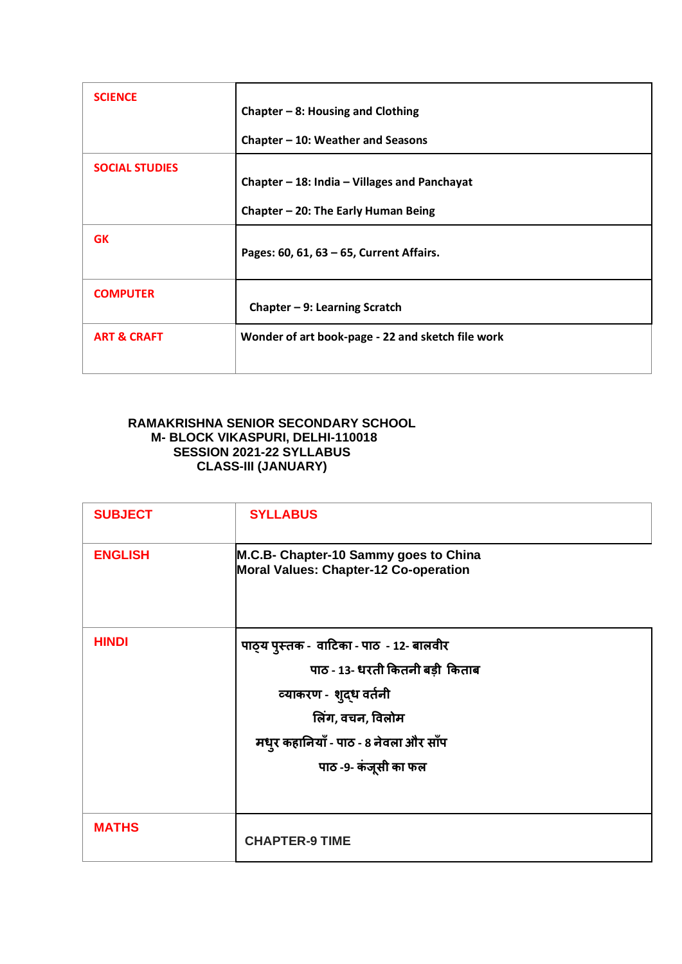| <b>SCIENCE</b>         | Chapter $-8$ : Housing and Clothing                                                       |
|------------------------|-------------------------------------------------------------------------------------------|
|                        | Chapter $-10$ : Weather and Seasons                                                       |
| <b>SOCIAL STUDIES</b>  | Chapter $-$ 18: India $-$ Villages and Panchayat<br>Chapter $-$ 20: The Early Human Being |
| <b>GK</b>              | Pages: 60, 61, 63 - 65, Current Affairs.                                                  |
| <b>COMPUTER</b>        | Chapter $-9$ : Learning Scratch                                                           |
| <b>ART &amp; CRAFT</b> | Wonder of art book-page - 22 and sketch file work                                         |

## **RAMAKRISHNA SENIOR SECONDARY SCHOOL M- BLOCK VIKASPURI, DELHI-110018 SESSION 2021-22 SYLLABUS CLASS-III (JANUARY)**

| <b>SUBJECT</b> | <b>SYLLABUS</b>                                                                                                                                                                            |
|----------------|--------------------------------------------------------------------------------------------------------------------------------------------------------------------------------------------|
| <b>ENGLISH</b> | M.C.B- Chapter-10 Sammy goes to China<br><b>Moral Values: Chapter-12 Co-operation</b>                                                                                                      |
| <b>HINDI</b>   | पाठ्य पुस्तक - वाटिका - पाठ - 12- बालवीर<br>पाठ - 13- धरती कितनी बड़ी किताब<br>व्याकरण - शुद्ध वर्तनी<br>लिंग, वचन, विलोम<br>मधुर कहानियाँ - पाठ - 8 नेवला और साँप<br>पाठ -9- कंजूसी का फल |
| <b>MATHS</b>   | <b>CHAPTER-9 TIME</b>                                                                                                                                                                      |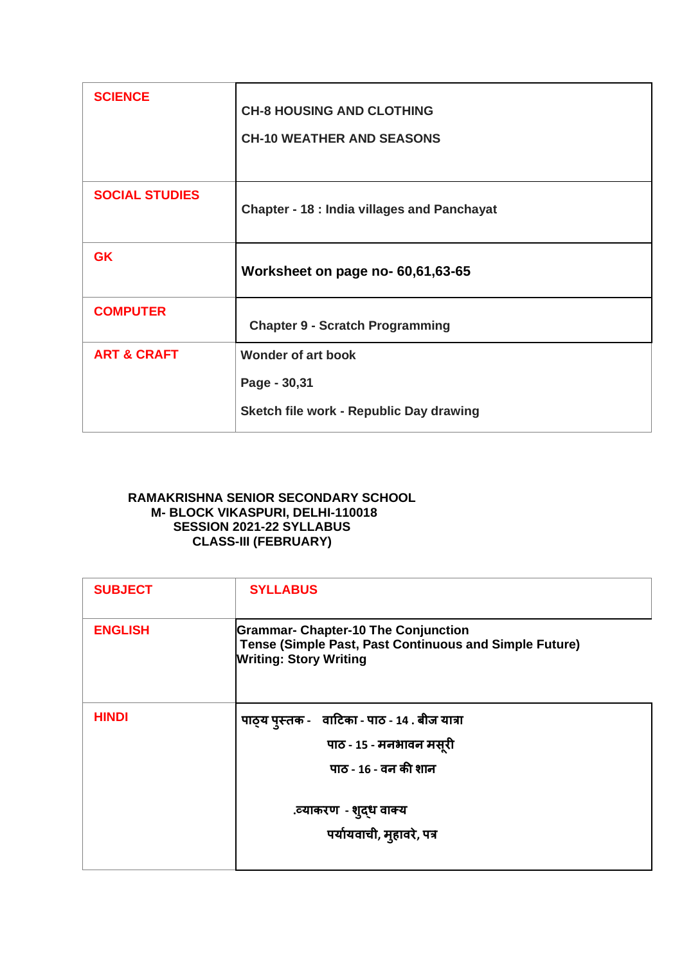| <b>SCIENCE</b>         | <b>CH-8 HOUSING AND CLOTHING</b><br><b>CH-10 WEATHER AND SEASONS</b>                 |
|------------------------|--------------------------------------------------------------------------------------|
| <b>SOCIAL STUDIES</b>  | <b>Chapter - 18 : India villages and Panchayat</b>                                   |
| <b>GK</b>              | Worksheet on page no- 60,61,63-65                                                    |
| <b>COMPUTER</b>        | <b>Chapter 9 - Scratch Programming</b>                                               |
| <b>ART &amp; CRAFT</b> | <b>Wonder of art book</b><br>Page - 30,31<br>Sketch file work - Republic Day drawing |

### **RAMAKRISHNA SENIOR SECONDARY SCHOOL M- BLOCK VIKASPURI, DELHI-110018 SESSION 2021-22 SYLLABUS CLASS-III (FEBRUARY)**

| <b>SUBJECT</b> | <b>SYLLABUS</b>                                                                                                                       |
|----------------|---------------------------------------------------------------------------------------------------------------------------------------|
| <b>ENGLISH</b> | <b>Grammar- Chapter-10 The Conjunction</b><br>Tense (Simple Past, Past Continuous and Simple Future)<br><b>Writing: Story Writing</b> |
| <b>HINDI</b>   | पाठ्य पुस्तक - वाटिका - पाठ - 14 . बीज यात्रा<br>पाठ - 15 - मनभावन मसूरी<br>पाठ - 16 - वन की शान                                      |
|                | .व्याकरण  - शुद्ध वाक्य<br>पर्यायवाची, मुहावरे, पत्र                                                                                  |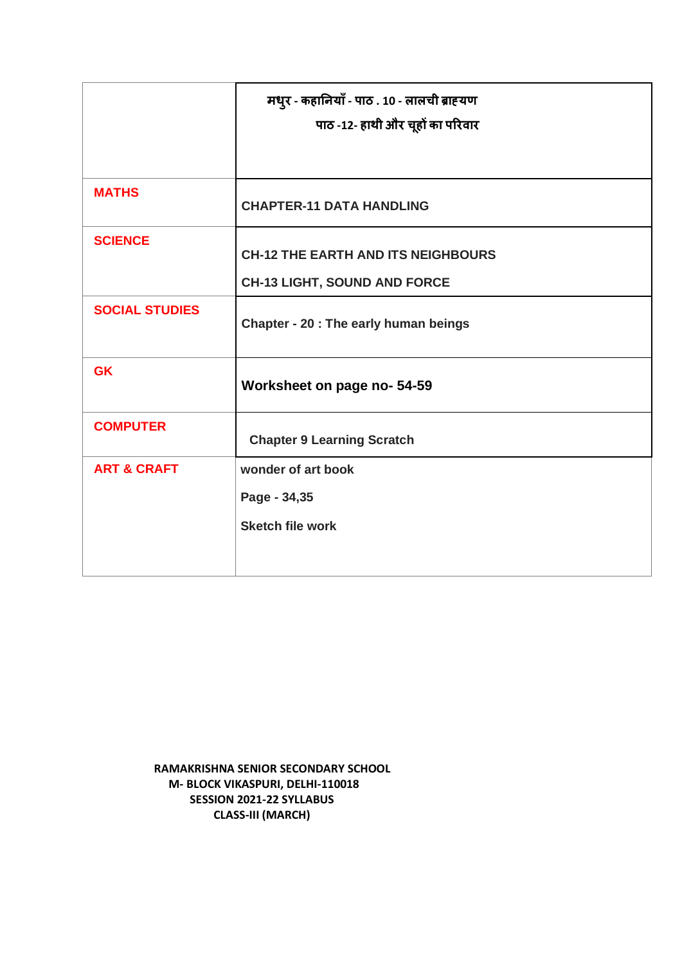|                        | मधुर - कहानियाँ - पाठ . 10 - लालची ब्राह्यण<br>पाठ -12- हाथी और चूहों का परिवार |
|------------------------|---------------------------------------------------------------------------------|
| <b>MATHS</b>           |                                                                                 |
|                        | <b>CHAPTER-11 DATA HANDLING</b>                                                 |
| <b>SCIENCE</b>         | <b>CH-12 THE EARTH AND ITS NEIGHBOURS</b>                                       |
|                        | <b>CH-13 LIGHT, SOUND AND FORCE</b>                                             |
| <b>SOCIAL STUDIES</b>  | Chapter - 20 : The early human beings                                           |
| <b>GK</b>              | Worksheet on page no- 54-59                                                     |
| <b>COMPUTER</b>        | <b>Chapter 9 Learning Scratch</b>                                               |
| <b>ART &amp; CRAFT</b> | wonder of art book                                                              |
|                        | Page - 34,35                                                                    |
|                        | <b>Sketch file work</b>                                                         |
|                        |                                                                                 |

**RAMAKRISHNA SENIOR SECONDARY SCHOOL M- BLOCK VIKASPURI, DELHI-110018 SESSION 2021-22 SYLLABUS CLASS-III (MARCH)**